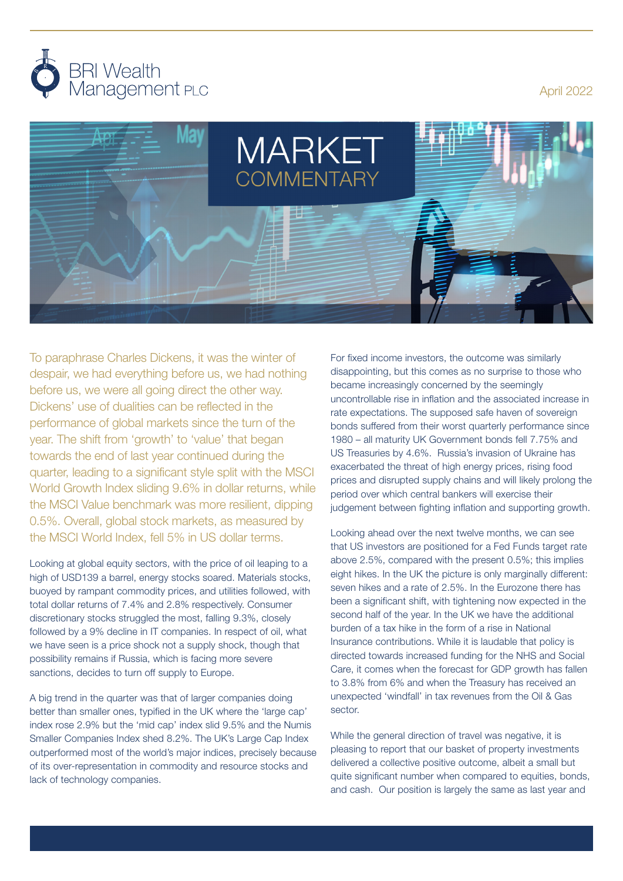

April 2022



To paraphrase Charles Dickens, it was the winter of despair, we had everything before us, we had nothing before us, we were all going direct the other way. Dickens' use of dualities can be reflected in the performance of global markets since the turn of the year. The shift from 'growth' to 'value' that began towards the end of last year continued during the quarter, leading to a significant style split with the MSCI World Growth Index sliding 9.6% in dollar returns, while the MSCI Value benchmark was more resilient, dipping 0.5%. Overall, global stock markets, as measured by the MSCI World Index, fell 5% in US dollar terms.

Looking at global equity sectors, with the price of oil leaping to a high of USD139 a barrel, energy stocks soared. Materials stocks, buoyed by rampant commodity prices, and utilities followed, with total dollar returns of 7.4% and 2.8% respectively. Consumer discretionary stocks struggled the most, falling 9.3%, closely followed by a 9% decline in IT companies. In respect of oil, what we have seen is a price shock not a supply shock, though that possibility remains if Russia, which is facing more severe sanctions, decides to turn off supply to Europe.

A big trend in the quarter was that of larger companies doing better than smaller ones, typified in the UK where the 'large cap' index rose 2.9% but the 'mid cap' index slid 9.5% and the Numis Smaller Companies Index shed 8.2%. The UK's Large Cap Index outperformed most of the world's major indices, precisely because of its over-representation in commodity and resource stocks and lack of technology companies.

For fixed income investors, the outcome was similarly disappointing, but this comes as no surprise to those who became increasingly concerned by the seemingly uncontrollable rise in inflation and the associated increase in rate expectations. The supposed safe haven of sovereign bonds suffered from their worst quarterly performance since 1980 – all maturity UK Government bonds fell 7.75% and US Treasuries by 4.6%. Russia's invasion of Ukraine has exacerbated the threat of high energy prices, rising food prices and disrupted supply chains and will likely prolong the period over which central bankers will exercise their judgement between fighting inflation and supporting growth.

Looking ahead over the next twelve months, we can see that US investors are positioned for a Fed Funds target rate above 2.5%, compared with the present 0.5%; this implies eight hikes. In the UK the picture is only marginally different: seven hikes and a rate of 2.5%. In the Eurozone there has been a significant shift, with tightening now expected in the second half of the year. In the UK we have the additional burden of a tax hike in the form of a rise in National Insurance contributions. While it is laudable that policy is directed towards increased funding for the NHS and Social Care, it comes when the forecast for GDP growth has fallen to 3.8% from 6% and when the Treasury has received an unexpected 'windfall' in tax revenues from the Oil & Gas sector.

While the general direction of travel was negative, it is pleasing to report that our basket of property investments delivered a collective positive outcome, albeit a small but quite significant number when compared to equities, bonds, and cash. Our position is largely the same as last year and